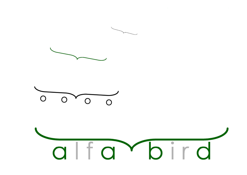





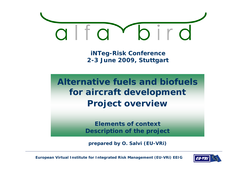

**iNTeg-Risk Conference 2-3 June 2009, Stuttgart**

**Alternative fuels and biofuels for aircraft development Pro ject overview**

> **Elements of contextDescription of the project**

**prepared by O. Salvi (EU-VRi)**

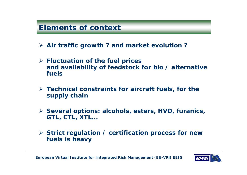# **Elements of context**

- ¾ **Air traffic growth ? and market evolution ?**
- ¾ **Fluctuation of the fuel prices and availability of feedstock for bio / alternative fuels**
- $\triangleright$  Technical constraints for aircraft fuels, for the **supply chain**
- ¾ **Several options: alcohols, esters, HVO, furanics, GTL, CTL, XTL...**
- ¾ **Strict regulation / certification process for new fuels is heavy**

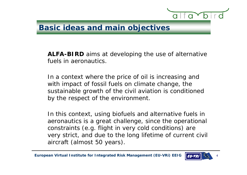

#### **Basic ideas and main objectives**

**ALFA-BIRD** aims at developing the use of alternative fuels in aeronautics.

In a context where the price of oil is increasing and with impact of fossil fuels on climate change, the sustainable growth of the civil aviation is conditioned by the respect of the environment.

In this context, using biofuels and alternative fuels in aeronautics is a great challenge, since the operational constraints (e.g. flight in very cold conditions) are very strict, and due to the long lifetime of current civil aircraft (almost 50 years).

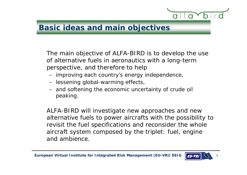

## **Basic ideas and main objectives**

The main objective of ALFA-BIRD is to develop the use of alternative fuels in aeronautics with a long-term perspective, and therefore to help

- improving each country's energy independence,
- lessening global-warming effects,
- and softening the economic uncertainty of crude oil peaking.

ALFA-BIRD will investigate new approaches and new alternative fuels to power aircrafts with the possibility to revisit the fuel s pecifications and reconsider the whole aircraft system composed by the triplet: fuel, engine and ambience.

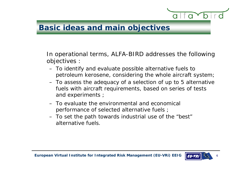

#### **Basic ideas and main objectives**

In operational terms, ALFA-BIRD addresses the following objectives :

- To identify and evaluate possible alternative fuels to petroleum kerosene, considering the whole aircraft system;
- To assess the adequacy of a selection of up to 5 alternative fuels with aircraft requirements, based on series of tests and experiments ;
- To evaluate the environmental and economical performance of selected alternative fuels ;
- To set the path towards industrial use of the "best" alternative fuels.

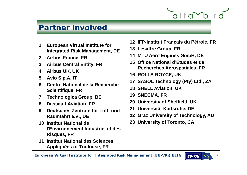

# **Partner involved**

- **Integrated Risk Management, DE**
- **Airbus France, FR**
- **Airbus Central Entity, FR**
- 
- **Avio S.p.A, IT**
- **Centre National de la Recherche Scientifique, FR**
- **Technologica Group, BE**
- **Dassault Aviation, FR**
- **Deutsches Zentrum für Luft- und Raumfahrt e.V., DE**
- **Institut National de l'E i t I d t i l t dl'Environnement Industriel et des Risques, FR**
- **Institut National des Sciences Appliquées of Toulouse FR Toulouse,**
- **European Virtual Institute for <sup>12</sup> IFP-Institut Français du Pétrole, FR 13**
	- **L ff G FRLesaffre Group,**
	- **MTU Aero Engines GmbH, DE**
- **Office National d'Études et de Recherches Aérospatiales FR Airbus UK, UK Aérospatiales,** 
	- **ROLLS-ROYCE, UK**
	- **SASOL Technology (Pty) Ltd., ZA**
	- **SHELL A iation UK Aviation,**
	- **SNECMA, FR**
	- **University of Sheffield, UK**
	- **U i ität K l h DEUniversität Karlsruhe,**
	- **Graz University of Technology, AU**
	- **University of Toronto, CA**

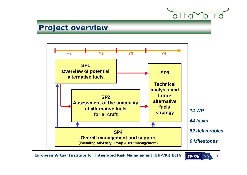

# **Project overview**



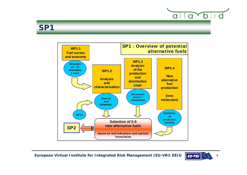

#### **SP1**



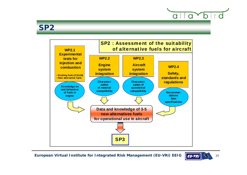

# **SP2**



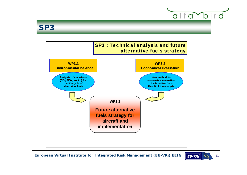

# **SP3**



**European Virtual Institute for Integrated Risk Management (EU-VRi) EEIG** 11

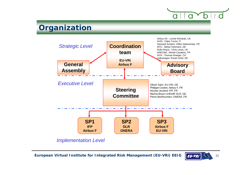# **Organization**



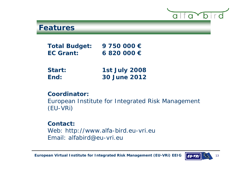

#### **Features**

**Total Budget: 9 750 000 € EC Grant: 6 820 000 €**

| Start: | <b>1st July 2008</b> |
|--------|----------------------|
| End:   | <b>30 June 2012</b>  |

#### **Coordinator:**

European Institute for Integrated Risk Management (EU-VRi)

#### **Contact:**

Web: http://www.alfa-bird.eu-vri.eu Email: alfabird@eu-vri.eu

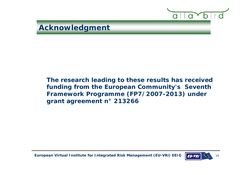

**The research leading to these results has received funding from the European Community s' Seventh Framework Programme (FP7/2007-2013) under grant agreement n° 213266**